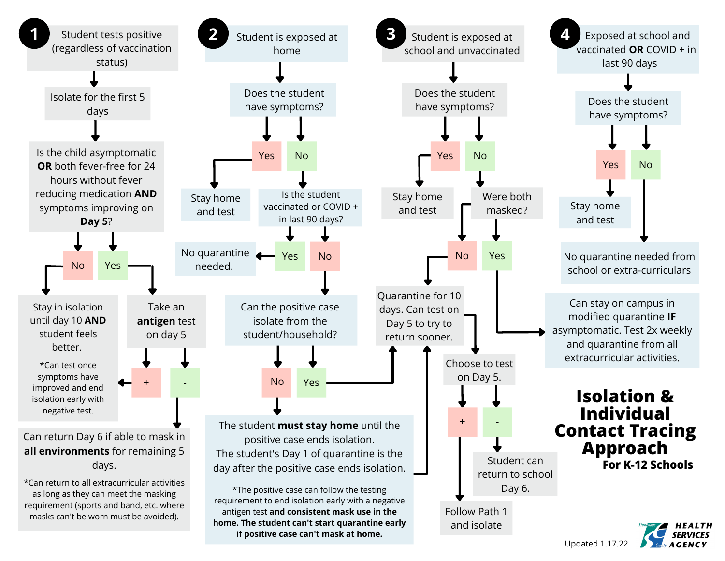

Updated 1.17.22